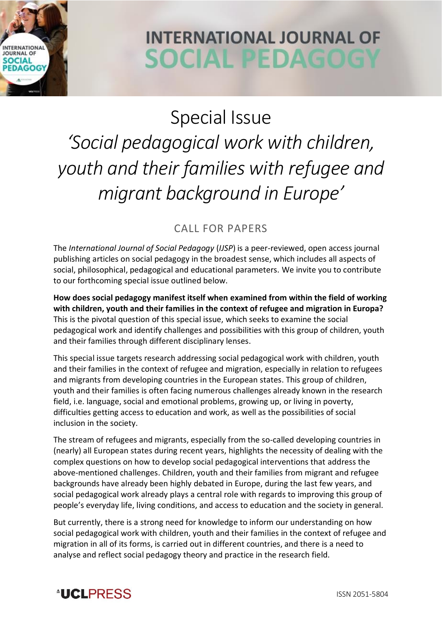

## **INTERNATIONAL JOURNAL OF SOCIAL PEDAGOGY**

## Special Issue *'Social pedagogical work with children, youth and their families with refugee and migrant background in Europe'*

## CALL FOR PAPERS

The *International Journal of Social Pedagogy* (*IJSP*) is a peer-reviewed, open access journal publishing articles on social pedagogy in the broadest sense, which includes all aspects of social, philosophical, pedagogical and educational parameters. We invite you to contribute to our forthcoming special issue outlined below.

**How does social pedagogy manifest itself when examined from within the field of working with children, youth and their families in the context of refugee and migration in Europa?**  This is the pivotal question of this special issue, which seeks to examine the social pedagogical work and identify challenges and possibilities with this group of children, youth and their families through different disciplinary lenses.

This special issue targets research addressing social pedagogical work with children, youth and their families in the context of refugee and migration, especially in relation to refugees and migrants from developing countries in the European states. This group of children, youth and their families is often facing numerous challenges already known in the research field, i.e. language, social and emotional problems, growing up, or living in poverty, difficulties getting access to education and work, as well as the possibilities of social inclusion in the society.

The stream of refugees and migrants, especially from the so-called developing countries in (nearly) all European states during recent years, highlights the necessity of dealing with the complex questions on how to develop social pedagogical interventions that address the above-mentioned challenges. Children, youth and their families from migrant and refugee backgrounds have already been highly debated in Europe, during the last few years, and social pedagogical work already plays a central role with regards to improving this group of people's everyday life, living conditions, and access to education and the society in general.

But currently, there is a strong need for knowledge to inform our understanding on how social pedagogical work with children, youth and their families in the context of refugee and migration in all of its forms, is carried out in different countries, and there is a need to analyse and reflect social pedagogy theory and practice in the research field.